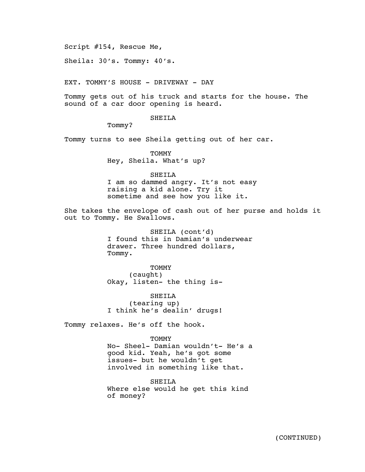Script #154, Rescue Me,

Sheila: 30's. Tommy: 40's.

EXT. TOMMY'S HOUSE - DRIVEWAY - DAY

Tommy gets out of his truck and starts for the house. The sound of a car door opening is heard.

SHEILA

Tommy?

Tommy turns to see Sheila getting out of her car.

**TOMMY** Hey, Sheila. What's up?

SHEILA

I am so dammed angry. It's not easy raising a kid alone. Try it sometime and see how you like it.

She takes the envelope of cash out of her purse and holds it out to Tommy. He Swallows.

> SHEILA (cont'd) I found this in Damian's underwear drawer. Three hundred dollars, Tommy.

**TOMMY** (caught) Okay, listen- the thing is-

SHEILA (tearing up) I think he's dealin' drugs!

Tommy relaxes. He's off the hook.

**TOMMY** 

No- Sheel- Damian wouldn't- He's a good kid. Yeah, he's got some issues- but he wouldn't get involved in something like that.

SHEILA Where else would he get this kind of money?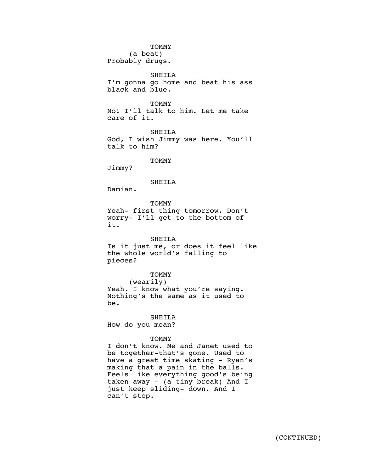#### **TOMMY**

(a beat) Probably drugs.

SHEILA I'm gonna go home and beat his ass black and blue.

**TOMMY** 

No! I'll talk to him. Let me take care of it.

SHEILA God, I wish Jimmy was here. You'll talk to him?

**TOMMY** 

Jimmy?

### SHEILA

Damian.

**TOMMY** Yeah- first thing tomorrow. Don't worry- I'll get to the bottom of it.

### SHEILA

Is it just me, or does it feel like the whole world's falling to pieces?

**TOMMY** 

# (wearily)

Yeah. I know what you're saying. Nothing's the same as it used to be.

SHEILA

How do you mean?

### **TOMMY**

I don't know. Me and Janet used to be together-that's gone. Used to have a great time skating - Ryan's making that a pain in the balls. Feels like everything good's being taken away - (a tiny break) And I just keep sliding- down. And I can't stop.

AGR LA